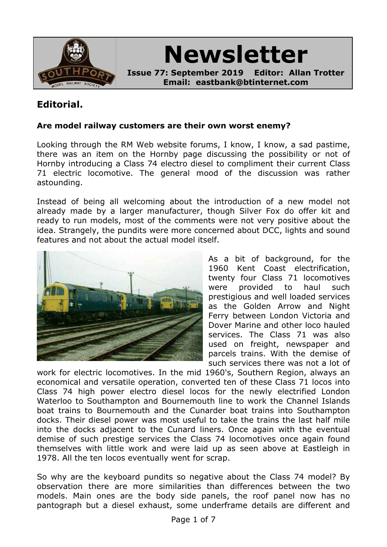

**Newsletter**

**Issue 77: September 2019 Editor: Allan Trotter Email: eastbank@btinternet.com**

# **Editorial.**

#### **Are model railway customers are their own worst enemy?**

Looking through the RM Web website forums, I know, I know, a sad pastime, there was an item on the Hornby page discussing the possibility or not of Hornby introducing a Class 74 electro diesel to compliment their current Class 71 electric locomotive. The general mood of the discussion was rather astounding.

Instead of being all welcoming about the introduction of a new model not already made by a larger manufacturer, though Silver Fox do offer kit and ready to run models, most of the comments were not very positive about the idea. Strangely, the pundits were more concerned about DCC, lights and sound features and not about the actual model itself.



As a bit of background, for the 1960 Kent Coast electrification, twenty four Class 71 locomotives were provided to haul such prestigious and well loaded services as the Golden Arrow and Night Ferry between London Victoria and Dover Marine and other loco hauled services. The Class 71 was also used on freight, newspaper and parcels trains. With the demise of such services there was not a lot of

work for electric locomotives. In the mid 1960's, Southern Region, always an economical and versatile operation, converted ten of these Class 71 locos into Class 74 high power electro diesel locos for the newly electrified London Waterloo to Southampton and Bournemouth line to work the Channel Islands boat trains to Bournemouth and the Cunarder boat trains into Southampton docks. Their diesel power was most useful to take the trains the last half mile into the docks adjacent to the Cunard liners. Once again with the eventual demise of such prestige services the Class 74 locomotives once again found themselves with little work and were laid up as seen above at Eastleigh in 1978. All the ten locos eventually went for scrap.

So why are the keyboard pundits so negative about the Class 74 model? By observation there are more similarities than differences between the two models. Main ones are the body side panels, the roof panel now has no pantograph but a diesel exhaust, some underframe details are different and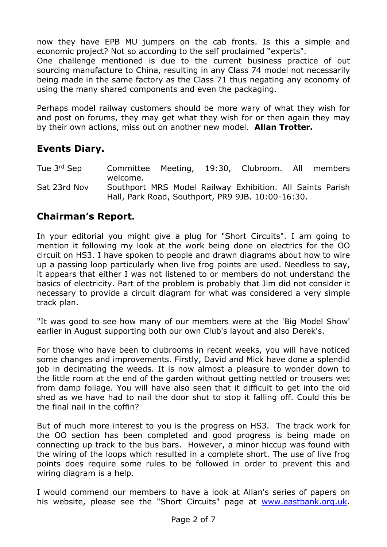now they have EPB MU jumpers on the cab fronts. Is this a simple and economic project? Not so according to the self proclaimed "experts".

One challenge mentioned is due to the current business practice of out sourcing manufacture to China, resulting in any Class 74 model not necessarily being made in the same factory as the Class 71 thus negating any economy of using the many shared components and even the packaging.

Perhaps model railway customers should be more wary of what they wish for and post on forums, they may get what they wish for or then again they may by their own actions, miss out on another new model. **Allan Trotter.**

## **Events Diary.**

- Tue 3rd Sep Committee Meeting, 19:30, Clubroom. All members welcome.
- Sat 23rd Nov Southport MRS Model Railway Exhibition. All Saints Parish Hall, Park Road, Southport, PR9 9JB. 10:00-16:30.

## **Chairman's Report.**

In your editorial you might give a plug for "Short Circuits". I am going to mention it following my look at the work being done on electrics for the OO circuit on HS3. I have spoken to people and drawn diagrams about how to wire up a passing loop particularly when live frog points are used. Needless to say, it appears that either I was not listened to or members do not understand the basics of electricity. Part of the problem is probably that Jim did not consider it necessary to provide a circuit diagram for what was considered a very simple track plan.

"It was good to see how many of our members were at the 'Big Model Show' earlier in August supporting both our own Club's layout and also Derek's.

For those who have been to clubrooms in recent weeks, you will have noticed some changes and improvements. Firstly, David and Mick have done a splendid job in decimating the weeds. It is now almost a pleasure to wonder down to the little room at the end of the garden without getting nettled or trousers wet from damp foliage. You will have also seen that it difficult to get into the old shed as we have had to nail the door shut to stop it falling off. Could this be the final nail in the coffin?

But of much more interest to you is the progress on HS3. The track work for the OO section has been completed and good progress is being made on connecting up track to the bus bars. However, a minor hiccup was found with the wiring of the loops which resulted in a complete short. The use of live frog points does require some rules to be followed in order to prevent this and wiring diagram is a help.

I would commend our members to have a look at Allan's series of papers on his website, please see the "Short Circuits" page at [www.eastbank.org.uk](file:///Users/newmac/Documents/1 Railways/2 SMRS/1 Newsletters/www.eastbank.org.uk).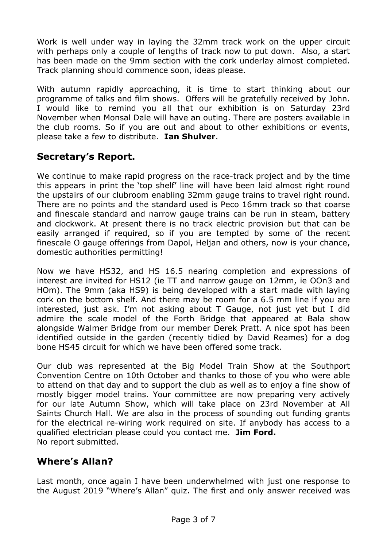Work is well under way in laying the 32mm track work on the upper circuit with perhaps only a couple of lengths of track now to put down. Also, a start has been made on the 9mm section with the cork underlay almost completed. Track planning should commence soon, ideas please.

With autumn rapidly approaching, it is time to start thinking about our programme of talks and film shows. Offers will be gratefully received by John. I would like to remind you all that our exhibition is on Saturday 23rd November when Monsal Dale will have an outing. There are posters available in the club rooms. So if you are out and about to other exhibitions or events, please take a few to distribute. **Ian Shulver**.

# **Secretary's Report.**

We continue to make rapid progress on the race-track project and by the time this appears in print the 'top shelf' line will have been laid almost right round the upstairs of our clubroom enabling 32mm gauge trains to travel right round. There are no points and the standard used is Peco 16mm track so that coarse and finescale standard and narrow gauge trains can be run in steam, battery and clockwork. At present there is no track electric provision but that can be easily arranged if required, so if you are tempted by some of the recent finescale O gauge offerings from Dapol, Heljan and others, now is your chance, domestic authorities permitting!

Now we have HS32, and HS 16.5 nearing completion and expressions of interest are invited for HS12 (ie TT and narrow gauge on 12mm, ie OOn3 and HOm). The 9mm (aka HS9) is being developed with a start made with laying cork on the bottom shelf. And there may be room for a 6.5 mm line if you are interested, just ask. I'm not asking about T Gauge, not just yet but I did admire the scale model of the Forth Bridge that appeared at Bala show alongside Walmer Bridge from our member Derek Pratt. A nice spot has been identified outside in the garden (recently tidied by David Reames) for a dog bone HS45 circuit for which we have been offered some track.

Our club was represented at the Big Model Train Show at the Southport Convention Centre on 10th October and thanks to those of you who were able to attend on that day and to support the club as well as to enjoy a fine show of mostly bigger model trains. Your committee are now preparing very actively for our late Autumn Show, which will take place on 23rd November at All Saints Church Hall. We are also in the process of sounding out funding grants for the electrical re-wiring work required on site. If anybody has access to a qualified electrician please could you contact me. **Jim Ford.** No report submitted.

## **Where's Allan?**

Last month, once again I have been underwhelmed with just one response to the August 2019 "Where's Allan" quiz. The first and only answer received was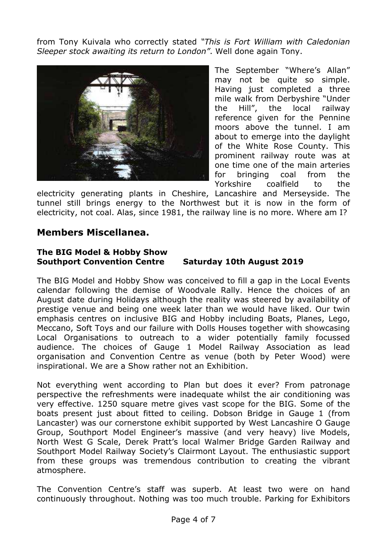from Tony Kuivala who correctly stated *"This is Fort William with Caledonian Sleeper stock awaiting its return to London"*. Well done again Tony.



The September "Where's Allan" may not be quite so simple. Having just completed a three mile walk from Derbyshire "Under the Hill", the local railway reference given for the Pennine moors above the tunnel. I am about to emerge into the daylight of the White Rose County. This prominent railway route was at one time one of the main arteries for bringing coal from the Yorkshire coalfield to the

electricity generating plants in Cheshire, Lancashire and Merseyside. The tunnel still brings energy to the Northwest but it is now in the form of electricity, not coal. Alas, since 1981, the railway line is no more. Where am I?

#### **Members Miscellanea.**

#### **The BIG Model & Hobby Show Southport Convention Centre Saturday 10th August 2019**

The BIG Model and Hobby Show was conceived to fill a gap in the Local Events calendar following the demise of Woodvale Rally. Hence the choices of an August date during Holidays although the reality was steered by availability of prestige venue and being one week later than we would have liked. Our twin emphasis centres on inclusive BIG and Hobby including Boats, Planes, Lego, Meccano, Soft Toys and our failure with Dolls Houses together with showcasing Local Organisations to outreach to a wider potentially family focussed audience. The choices of Gauge 1 Model Railway Association as lead organisation and Convention Centre as venue (both by Peter Wood) were inspirational. We are a Show rather not an Exhibition.

Not everything went according to Plan but does it ever? From patronage perspective the refreshments were inadequate whilst the air conditioning was very effective. 1250 square metre gives vast scope for the BIG. Some of the boats present just about fitted to ceiling. Dobson Bridge in Gauge 1 (from Lancaster) was our cornerstone exhibit supported by West Lancashire O Gauge Group, Southport Model Engineer's massive (and very heavy) live Models, North West G Scale, Derek Pratt's local Walmer Bridge Garden Railway and Southport Model Railway Society's Clairmont Layout. The enthusiastic support from these groups was tremendous contribution to creating the vibrant atmosphere.

The Convention Centre's staff was superb. At least two were on hand continuously throughout. Nothing was too much trouble. Parking for Exhibitors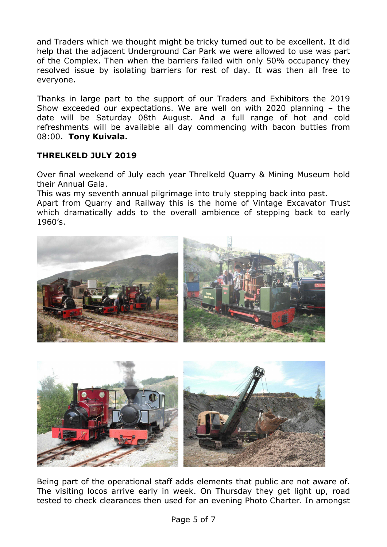and Traders which we thought might be tricky turned out to be excellent. It did help that the adjacent Underground Car Park we were allowed to use was part of the Complex. Then when the barriers failed with only 50% occupancy they resolved issue by isolating barriers for rest of day. It was then all free to everyone.

Thanks in large part to the support of our Traders and Exhibitors the 2019 Show exceeded our expectations. We are well on with 2020 planning – the date will be Saturday 08th August. And a full range of hot and cold refreshments will be available all day commencing with bacon butties from 08:00. **Tony Kuivala.**

#### **THRELKELD JULY 2019**

Over final weekend of July each year Threlkeld Quarry & Mining Museum hold their Annual Gala.

This was my seventh annual pilgrimage into truly stepping back into past.

Apart from Quarry and Railway this is the home of Vintage Excavator Trust which dramatically adds to the overall ambience of stepping back to early 1960's.



Being part of the operational staff adds elements that public are not aware of. The visiting locos arrive early in week. On Thursday they get light up, road tested to check clearances then used for an evening Photo Charter. In amongst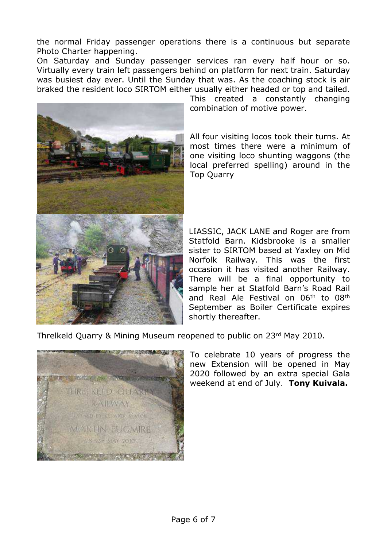the normal Friday passenger operations there is a continuous but separate Photo Charter happening.

On Saturday and Sunday passenger services ran every half hour or so. Virtually every train left passengers behind on platform for next train. Saturday was busiest day ever. Until the Sunday that was. As the coaching stock is air braked the resident loco SIRTOM either usually either headed or top and tailed.



This created a constantly changing combination of motive power.

All four visiting locos took their turns. At most times there were a minimum of one visiting loco shunting waggons (the local preferred spelling) around in the Top Quarry

LIASSIC, JACK LANE and Roger are from Statfold Barn. Kidsbrooke is a smaller sister to SIRTOM based at Yaxley on Mid Norfolk Railway. This was the first occasion it has visited another Railway. There will be a final opportunity to sample her at Statfold Barn's Road Rail and Real Ale Festival on 06<sup>th</sup> to 08<sup>th</sup> September as Boiler Certificate expires shortly thereafter.

Threlkeld Quarry & Mining Museum reopened to public on 23rd May 2010.



To celebrate 10 years of progress the new Extension will be opened in May 2020 followed by an extra special Gala weekend at end of July. **Tony Kuivala.**